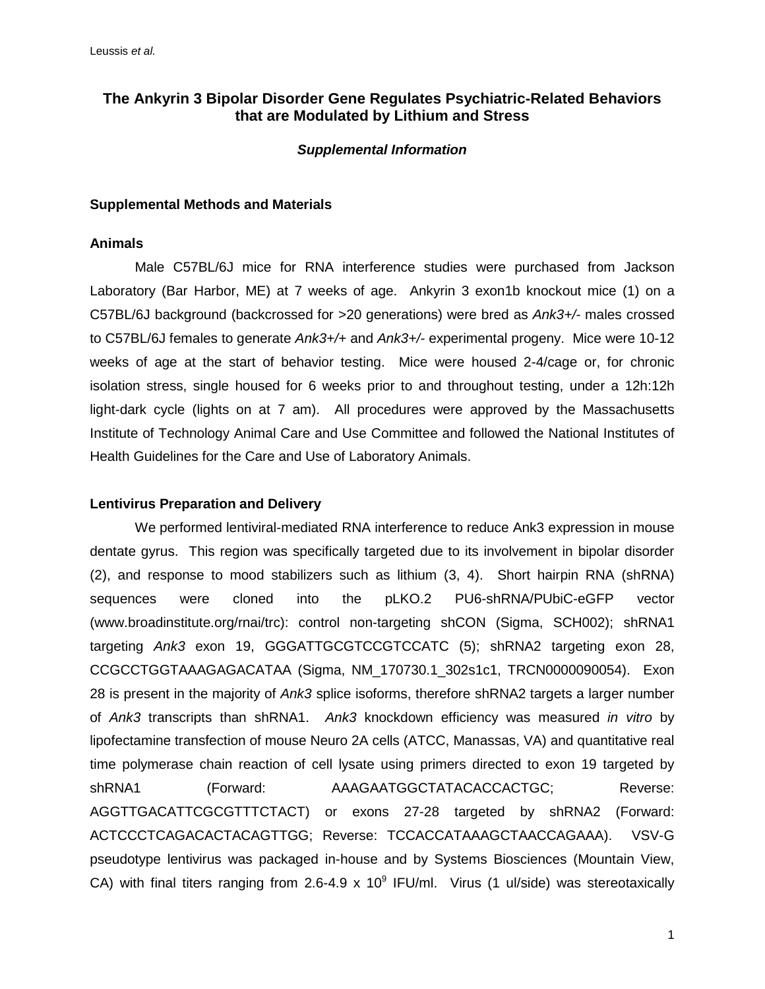# **The Ankyrin 3 Bipolar Disorder Gene Regulates Psychiatric-Related Behaviors that are Modulated by Lithium and Stress**

#### *Supplemental Information*

#### **Supplemental Methods and Materials**

### **Animals**

Male C57BL/6J mice for RNA interference studies were purchased from Jackson Laboratory (Bar Harbor, ME) at 7 weeks of age. Ankyrin 3 exon1b knockout mice [\(1\)](#page-15-0) on a C57BL/6J background (backcrossed for >20 generations) were bred as *Ank3+/-* males crossed to C57BL/6J females to generate *Ank3+/+* and *Ank3+/-* experimental progeny. Mice were 10-12 weeks of age at the start of behavior testing. Mice were housed 2-4/cage or, for chronic isolation stress, single housed for 6 weeks prior to and throughout testing, under a 12h:12h light-dark cycle (lights on at 7 am). All procedures were approved by the Massachusetts Institute of Technology Animal Care and Use Committee and followed the National Institutes of Health Guidelines for the Care and Use of Laboratory Animals.

### **Lentivirus Preparation and Delivery**

We performed lentiviral-mediated RNA interference to reduce Ank3 expression in mouse dentate gyrus. This region was specifically targeted due to its involvement in bipolar disorder [\(2\)](#page-15-1), and response to mood stabilizers such as lithium [\(3,](#page-15-2) [4\)](#page-15-3). Short hairpin RNA (shRNA) sequences were cloned into the pLKO.2 PU6-shRNA/PUbiC-eGFP vector (www.broadinstitute.org/rnai/trc): control non-targeting shCON (Sigma, SCH002); shRNA1 targeting *Ank3* exon 19, GGGATTGCGTCCGTCCATC [\(5\)](#page-15-4); shRNA2 targeting exon 28, CCGCCTGGTAAAGAGACATAA (Sigma, NM\_170730.1\_302s1c1, TRCN0000090054). Exon 28 is present in the majority of *Ank3* splice isoforms, therefore shRNA2 targets a larger number of *Ank3* transcripts than shRNA1. *Ank3* knockdown efficiency was measured *in vitro* by lipofectamine transfection of mouse Neuro 2A cells (ATCC, Manassas, VA) and quantitative real time polymerase chain reaction of cell lysate using primers directed to exon 19 targeted by shRNA1 (Forward: AAAGAATGGCTATACACCACTGC; Reverse: AGGTTGACATTCGCGTTTCTACT) or exons 27-28 targeted by shRNA2 (Forward: ACTCCCTCAGACACTACAGTTGG; Reverse: TCCACCATAAAGCTAACCAGAAA). VSV-G pseudotype lentivirus was packaged in-house and by Systems Biosciences (Mountain View, CA) with final titers ranging from 2.6-4.9 x 10 $^9$  IFU/ml. Virus (1 ul/side) was stereotaxically

1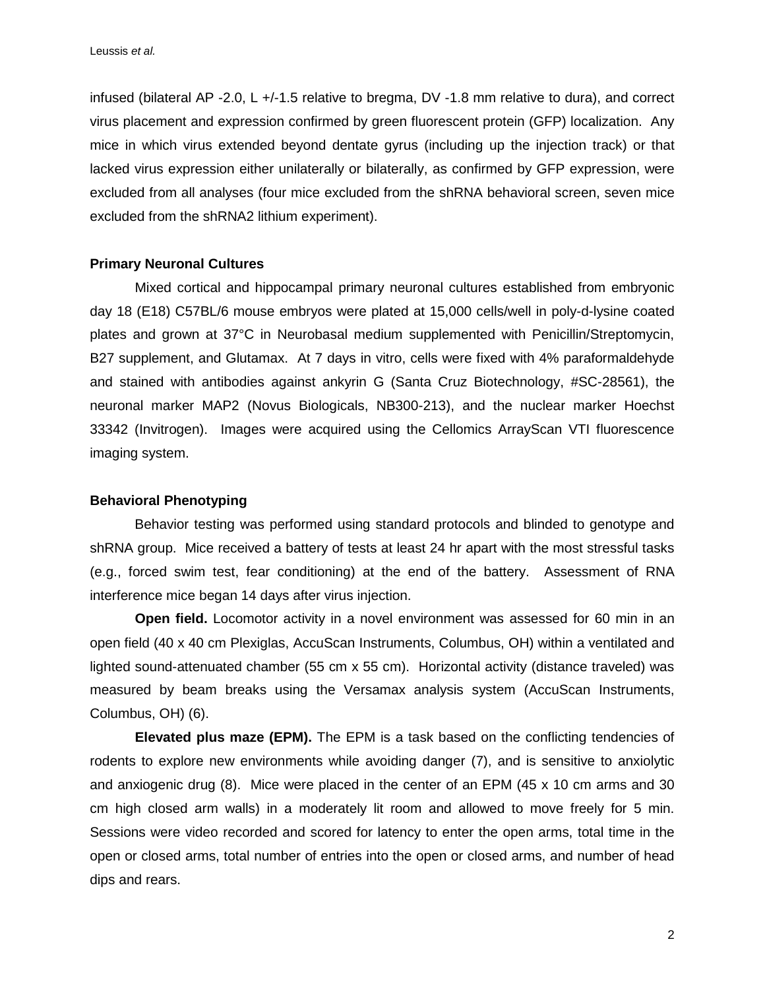infused (bilateral AP -2.0, L +/-1.5 relative to bregma, DV -1.8 mm relative to dura), and correct virus placement and expression confirmed by green fluorescent protein (GFP) localization. Any mice in which virus extended beyond dentate gyrus (including up the injection track) or that lacked virus expression either unilaterally or bilaterally, as confirmed by GFP expression, were excluded from all analyses (four mice excluded from the shRNA behavioral screen, seven mice excluded from the shRNA2 lithium experiment).

### **Primary Neuronal Cultures**

Mixed cortical and hippocampal primary neuronal cultures established from embryonic day 18 (E18) C57BL/6 mouse embryos were plated at 15,000 cells/well in poly-d-lysine coated plates and grown at 37°C in Neurobasal medium supplemented with Penicillin/Streptomycin, B27 supplement, and Glutamax. At 7 days in vitro, cells were fixed with 4% paraformaldehyde and stained with antibodies against ankyrin G (Santa Cruz Biotechnology, #SC-28561), the neuronal marker MAP2 (Novus Biologicals, NB300-213), and the nuclear marker Hoechst 33342 (Invitrogen). Images were acquired using the Cellomics ArrayScan VTI fluorescence imaging system.

#### **Behavioral Phenotyping**

Behavior testing was performed using standard protocols and blinded to genotype and shRNA group. Mice received a battery of tests at least 24 hr apart with the most stressful tasks (e.g., forced swim test, fear conditioning) at the end of the battery. Assessment of RNA interference mice began 14 days after virus injection.

**Open field.** Locomotor activity in a novel environment was assessed for 60 min in an open field (40 x 40 cm Plexiglas, AccuScan Instruments, Columbus, OH) within a ventilated and lighted sound-attenuated chamber (55 cm x 55 cm). Horizontal activity (distance traveled) was measured by beam breaks using the Versamax analysis system (AccuScan Instruments, Columbus, OH) [\(6\)](#page-15-5).

**Elevated plus maze (EPM).** The EPM is a task based on the conflicting tendencies of rodents to explore new environments while avoiding danger [\(7\)](#page-15-6), and is sensitive to anxiolytic and anxiogenic drug [\(8\)](#page-15-7). Mice were placed in the center of an EPM (45 x 10 cm arms and 30 cm high closed arm walls) in a moderately lit room and allowed to move freely for 5 min. Sessions were video recorded and scored for latency to enter the open arms, total time in the open or closed arms, total number of entries into the open or closed arms, and number of head dips and rears.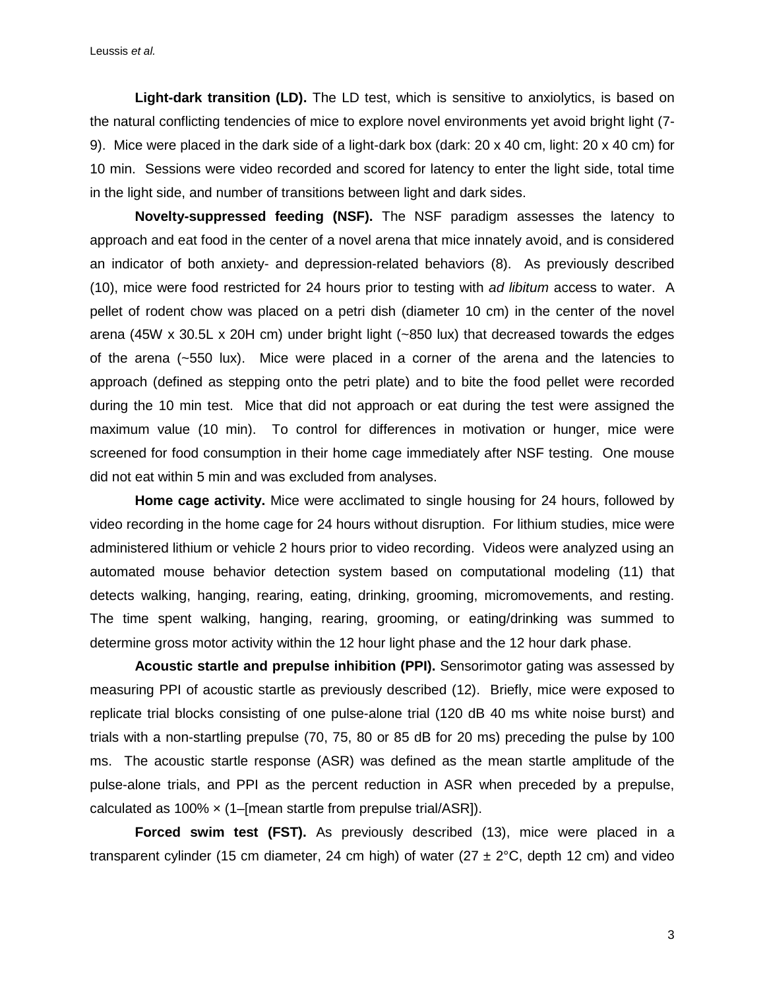**Light-dark transition (LD).** The LD test, which is sensitive to anxiolytics, is based on the natural conflicting tendencies of mice to explore novel environments yet avoid bright light [\(7-](#page-15-6) [9\)](#page-15-6). Mice were placed in the dark side of a light-dark box (dark: 20 x 40 cm, light: 20 x 40 cm) for 10 min. Sessions were video recorded and scored for latency to enter the light side, total time in the light side, and number of transitions between light and dark sides.

**Novelty-suppressed feeding (NSF).** The NSF paradigm assesses the latency to approach and eat food in the center of a novel arena that mice innately avoid, and is considered an indicator of both anxiety- and depression-related behaviors [\(8\)](#page-15-7). As previously described [\(10\)](#page-15-8), mice were food restricted for 24 hours prior to testing with *ad libitum* access to water. A pellet of rodent chow was placed on a petri dish (diameter 10 cm) in the center of the novel arena (45W  $\times$  30.5L  $\times$  20H cm) under bright light ( $\sim$ 850 lux) that decreased towards the edges of the arena (~550 lux). Mice were placed in a corner of the arena and the latencies to approach (defined as stepping onto the petri plate) and to bite the food pellet were recorded during the 10 min test. Mice that did not approach or eat during the test were assigned the maximum value (10 min). To control for differences in motivation or hunger, mice were screened for food consumption in their home cage immediately after NSF testing. One mouse did not eat within 5 min and was excluded from analyses.

 **Home cage activity.** Mice were acclimated to single housing for 24 hours, followed by video recording in the home cage for 24 hours without disruption. For lithium studies, mice were administered lithium or vehicle 2 hours prior to video recording. Videos were analyzed using an automated mouse behavior detection system based on computational modeling [\(11\)](#page-15-9) that detects walking, hanging, rearing, eating, drinking, grooming, micromovements, and resting. The time spent walking, hanging, rearing, grooming, or eating/drinking was summed to determine gross motor activity within the 12 hour light phase and the 12 hour dark phase.

**Acoustic startle and prepulse inhibition (PPI).** Sensorimotor gating was assessed by measuring PPI of acoustic startle as previously described [\(12\)](#page-15-10). Briefly, mice were exposed to replicate trial blocks consisting of one pulse-alone trial (120 dB 40 ms white noise burst) and trials with a non-startling prepulse (70, 75, 80 or 85 dB for 20 ms) preceding the pulse by 100 ms. The acoustic startle response (ASR) was defined as the mean startle amplitude of the pulse-alone trials, and PPI as the percent reduction in ASR when preceded by a prepulse, calculated as 100% × (1–[mean startle from prepulse trial/ASR]).

**Forced swim test (FST).** As previously described [\(13\)](#page-15-11), mice were placed in a transparent cylinder (15 cm diameter, 24 cm high) of water (27  $\pm$  2°C, depth 12 cm) and video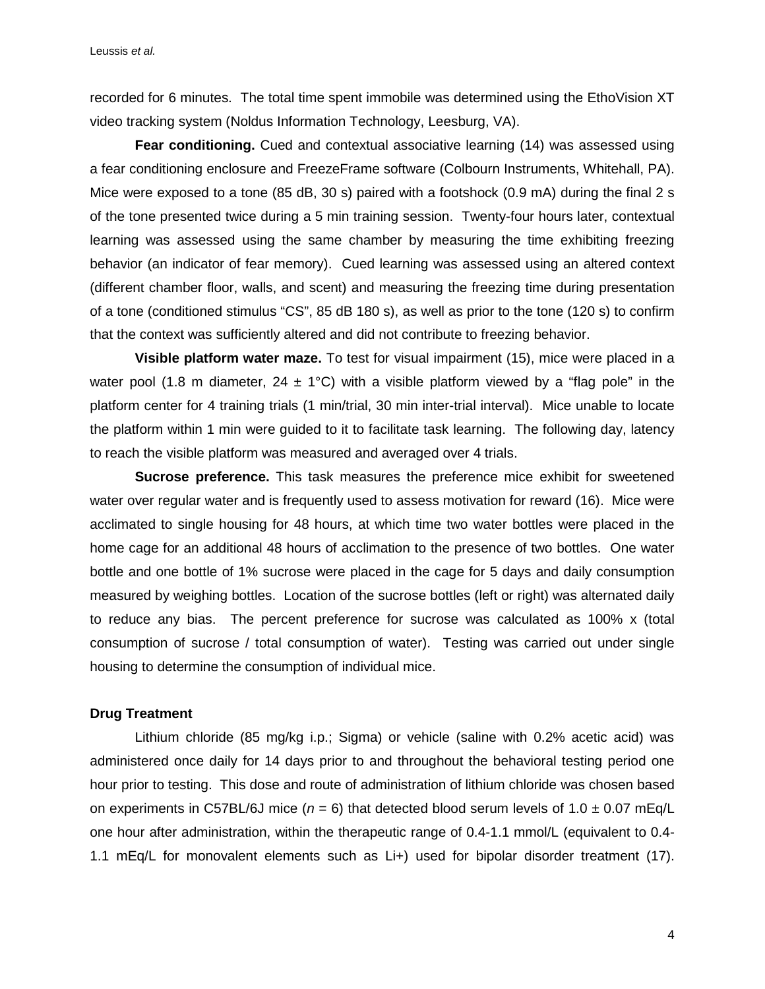recorded for 6 minutes. The total time spent immobile was determined using the EthoVision XT video tracking system (Noldus Information Technology, Leesburg, VA).

**Fear conditioning.** Cued and contextual associative learning [\(14\)](#page-16-0) was assessed using a fear conditioning enclosure and FreezeFrame software (Colbourn Instruments, Whitehall, PA). Mice were exposed to a tone (85 dB, 30 s) paired with a footshock (0.9 mA) during the final 2 s of the tone presented twice during a 5 min training session. Twenty-four hours later, contextual learning was assessed using the same chamber by measuring the time exhibiting freezing behavior (an indicator of fear memory). Cued learning was assessed using an altered context (different chamber floor, walls, and scent) and measuring the freezing time during presentation of a tone (conditioned stimulus "CS", 85 dB 180 s), as well as prior to the tone (120 s) to confirm that the context was sufficiently altered and did not contribute to freezing behavior.

**Visible platform water maze.** To test for visual impairment [\(15\)](#page-16-1), mice were placed in a water pool (1.8 m diameter, 24  $\pm$  1°C) with a visible platform viewed by a "flag pole" in the platform center for 4 training trials (1 min/trial, 30 min inter-trial interval). Mice unable to locate the platform within 1 min were guided to it to facilitate task learning. The following day, latency to reach the visible platform was measured and averaged over 4 trials.

**Sucrose preference.** This task measures the preference mice exhibit for sweetened water over regular water and is frequently used to assess motivation for reward [\(16\)](#page-16-2). Mice were acclimated to single housing for 48 hours, at which time two water bottles were placed in the home cage for an additional 48 hours of acclimation to the presence of two bottles. One water bottle and one bottle of 1% sucrose were placed in the cage for 5 days and daily consumption measured by weighing bottles. Location of the sucrose bottles (left or right) was alternated daily to reduce any bias. The percent preference for sucrose was calculated as 100% x (total consumption of sucrose / total consumption of water). Testing was carried out under single housing to determine the consumption of individual mice.

### **Drug Treatment**

Lithium chloride (85 mg/kg i.p.; Sigma) or vehicle (saline with 0.2% acetic acid) was administered once daily for 14 days prior to and throughout the behavioral testing period one hour prior to testing. This dose and route of administration of lithium chloride was chosen based on experiments in C57BL/6J mice (*n* = 6) that detected blood serum levels of 1.0 ± 0.07 mEq/L one hour after administration, within the therapeutic range of 0.4-1.1 mmol/L (equivalent to 0.4- 1.1 mEq/L for monovalent elements such as Li+) used for bipolar disorder treatment [\(17\)](#page-16-3).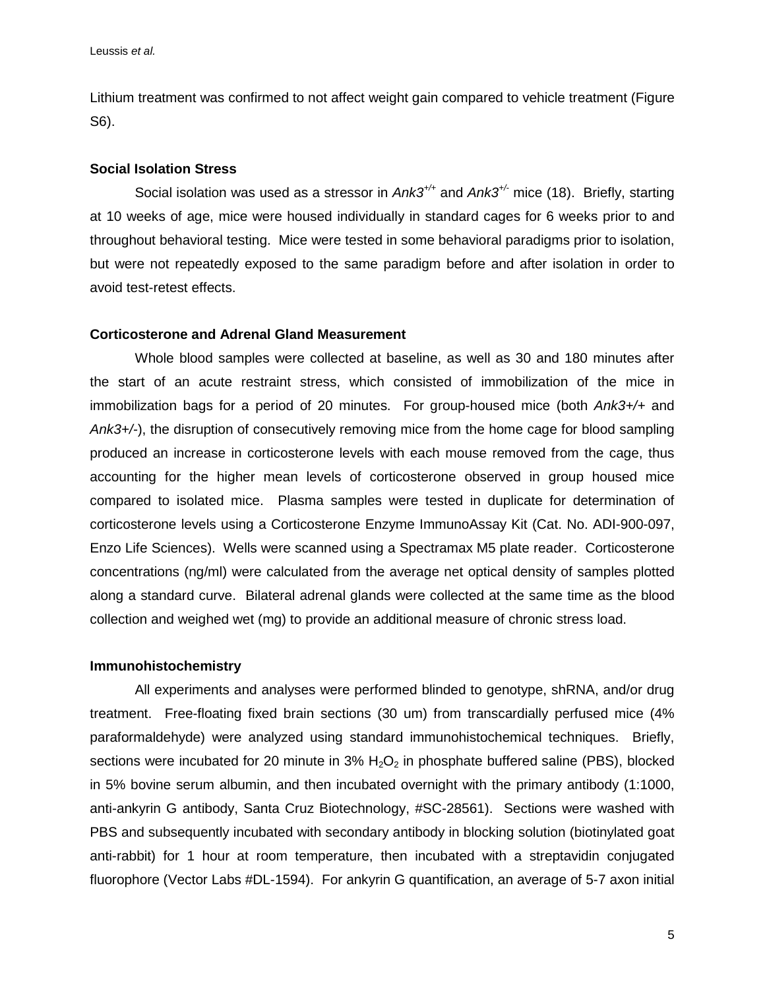Lithium treatment was confirmed to not affect weight gain compared to vehicle treatment (Figure S6).

#### **Social Isolation Stress**

Social isolation was used as a stressor in *Ank3+/+* and *Ank3+/-* mice [\(18\)](#page-16-4). Briefly, starting at 10 weeks of age, mice were housed individually in standard cages for 6 weeks prior to and throughout behavioral testing. Mice were tested in some behavioral paradigms prior to isolation, but were not repeatedly exposed to the same paradigm before and after isolation in order to avoid test-retest effects.

#### **Corticosterone and Adrenal Gland Measurement**

Whole blood samples were collected at baseline, as well as 30 and 180 minutes after the start of an acute restraint stress, which consisted of immobilization of the mice in immobilization bags for a period of 20 minutes. For group-housed mice (both *Ank3+/+* and *Ank3+/-*), the disruption of consecutively removing mice from the home cage for blood sampling produced an increase in corticosterone levels with each mouse removed from the cage, thus accounting for the higher mean levels of corticosterone observed in group housed mice compared to isolated mice. Plasma samples were tested in duplicate for determination of corticosterone levels using a Corticosterone Enzyme ImmunoAssay Kit (Cat. No. ADI-900-097, Enzo Life Sciences). Wells were scanned using a Spectramax M5 plate reader. Corticosterone concentrations (ng/ml) were calculated from the average net optical density of samples plotted along a standard curve. Bilateral adrenal glands were collected at the same time as the blood collection and weighed wet (mg) to provide an additional measure of chronic stress load.

#### **Immunohistochemistry**

All experiments and analyses were performed blinded to genotype, shRNA, and/or drug treatment. Free-floating fixed brain sections (30 um) from transcardially perfused mice (4% paraformaldehyde) were analyzed using standard immunohistochemical techniques. Briefly, sections were incubated for 20 minute in  $3\%$  H<sub>2</sub>O<sub>2</sub> in phosphate buffered saline (PBS), blocked in 5% bovine serum albumin, and then incubated overnight with the primary antibody (1:1000, anti-ankyrin G antibody, Santa Cruz Biotechnology, #SC-28561). Sections were washed with PBS and subsequently incubated with secondary antibody in blocking solution (biotinylated goat anti-rabbit) for 1 hour at room temperature, then incubated with a streptavidin conjugated fluorophore (Vector Labs #DL-1594). For ankyrin G quantification, an average of 5-7 axon initial

5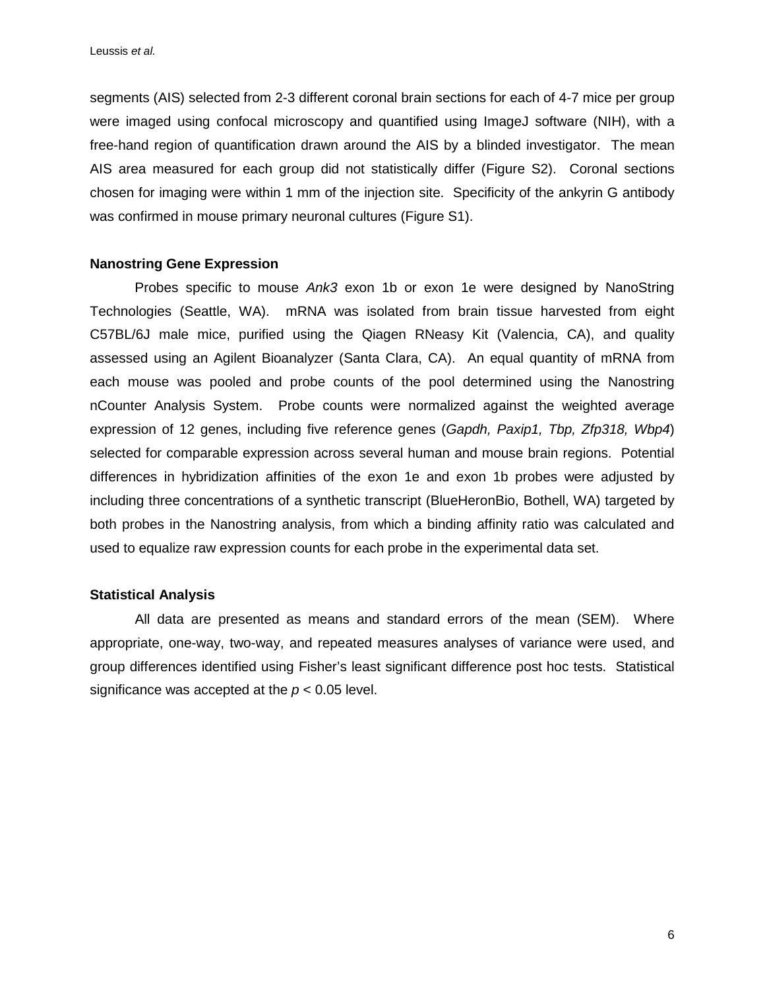segments (AIS) selected from 2-3 different coronal brain sections for each of 4-7 mice per group were imaged using confocal microscopy and quantified using ImageJ software (NIH), with a free-hand region of quantification drawn around the AIS by a blinded investigator. The mean AIS area measured for each group did not statistically differ (Figure S2). Coronal sections chosen for imaging were within 1 mm of the injection site. Specificity of the ankyrin G antibody was confirmed in mouse primary neuronal cultures (Figure S1).

### **Nanostring Gene Expression**

Probes specific to mouse *Ank3* exon 1b or exon 1e were designed by NanoString Technologies (Seattle, WA). mRNA was isolated from brain tissue harvested from eight C57BL/6J male mice, purified using the Qiagen RNeasy Kit (Valencia, CA), and quality assessed using an Agilent Bioanalyzer (Santa Clara, CA). An equal quantity of mRNA from each mouse was pooled and probe counts of the pool determined using the Nanostring nCounter Analysis System. Probe counts were normalized against the weighted average expression of 12 genes, including five reference genes (*Gapdh, Paxip1, Tbp, Zfp318, Wbp4*) selected for comparable expression across several human and mouse brain regions. Potential differences in hybridization affinities of the exon 1e and exon 1b probes were adjusted by including three concentrations of a synthetic transcript (BlueHeronBio, Bothell, WA) targeted by both probes in the Nanostring analysis, from which a binding affinity ratio was calculated and used to equalize raw expression counts for each probe in the experimental data set.

### **Statistical Analysis**

All data are presented as means and standard errors of the mean (SEM). Where appropriate, one-way, two-way, and repeated measures analyses of variance were used, and group differences identified using Fisher's least significant difference post hoc tests. Statistical significance was accepted at the *p* < 0.05 level.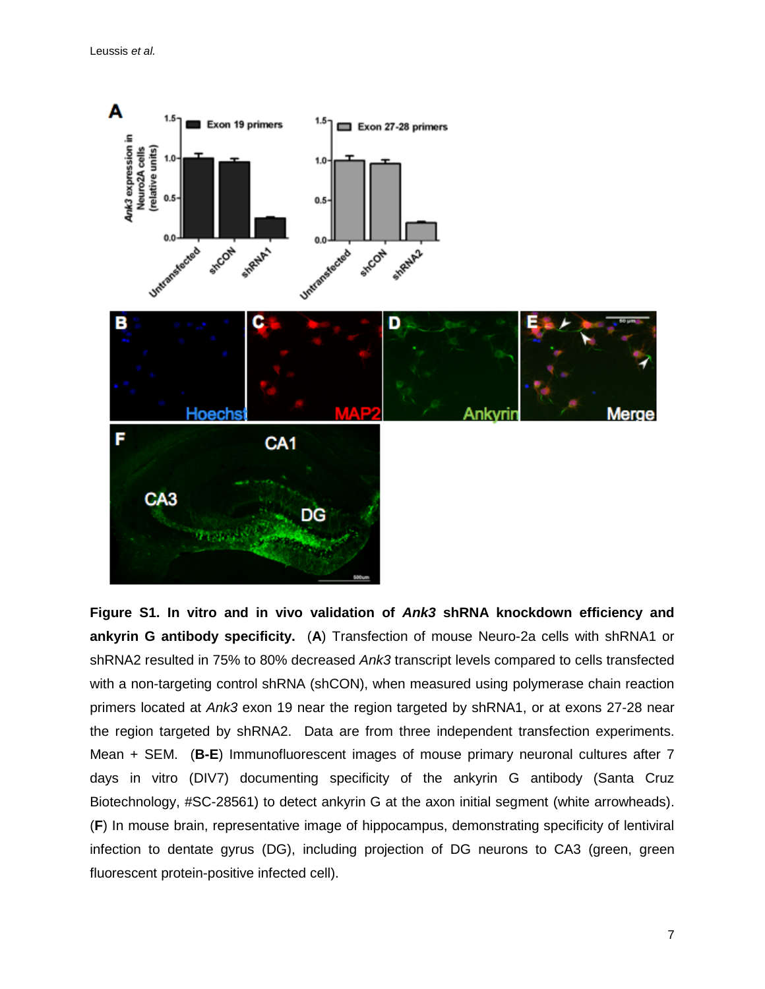

**Figure S1. In vitro and in vivo validation of** *Ank3* **shRNA knockdown efficiency and ankyrin G antibody specificity.** (**A**) Transfection of mouse Neuro-2a cells with shRNA1 or shRNA2 resulted in 75% to 80% decreased *Ank3* transcript levels compared to cells transfected with a non-targeting control shRNA (shCON), when measured using polymerase chain reaction primers located at *Ank3* exon 19 near the region targeted by shRNA1, or at exons 27-28 near the region targeted by shRNA2. Data are from three independent transfection experiments. Mean + SEM. (**B-E**) Immunofluorescent images of mouse primary neuronal cultures after 7 days in vitro (DIV7) documenting specificity of the ankyrin G antibody (Santa Cruz Biotechnology, #SC-28561) to detect ankyrin G at the axon initial segment (white arrowheads). (**F**) In mouse brain, representative image of hippocampus, demonstrating specificity of lentiviral infection to dentate gyrus (DG), including projection of DG neurons to CA3 (green, green fluorescent protein-positive infected cell).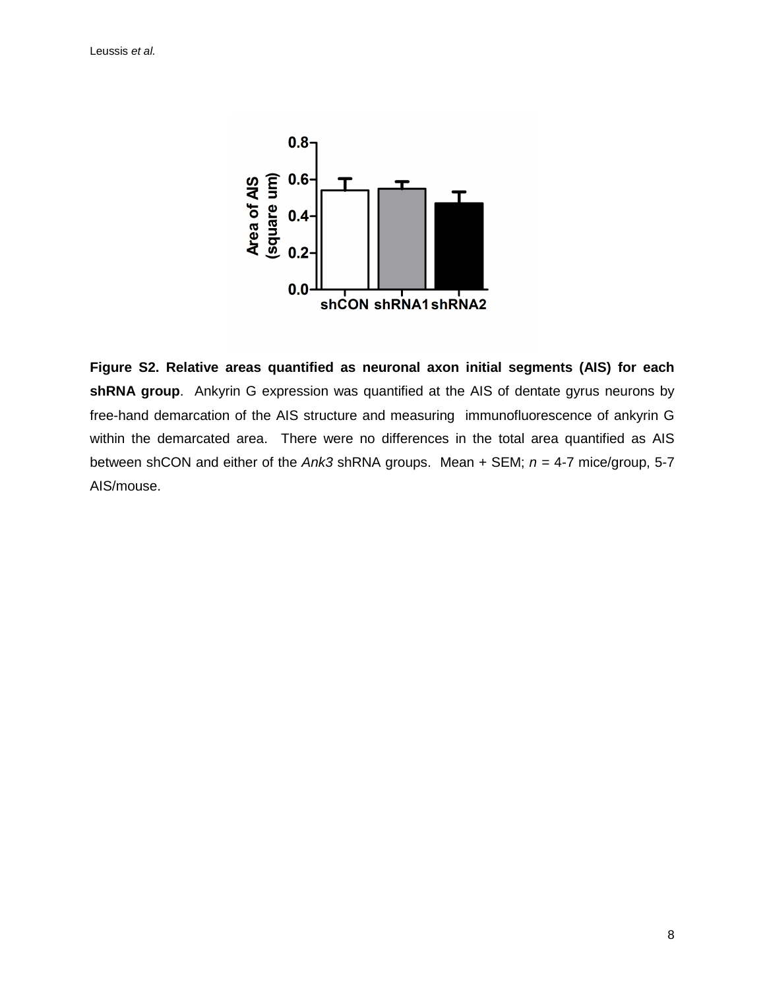

**Figure S2. Relative areas quantified as neuronal axon initial segments (AIS) for each shRNA group**. Ankyrin G expression was quantified at the AIS of dentate gyrus neurons by free-hand demarcation of the AIS structure and measuring immunofluorescence of ankyrin G within the demarcated area. There were no differences in the total area quantified as AIS between shCON and either of the *Ank3* shRNA groups. Mean + SEM; *n* = 4-7 mice/group, 5-7 AIS/mouse.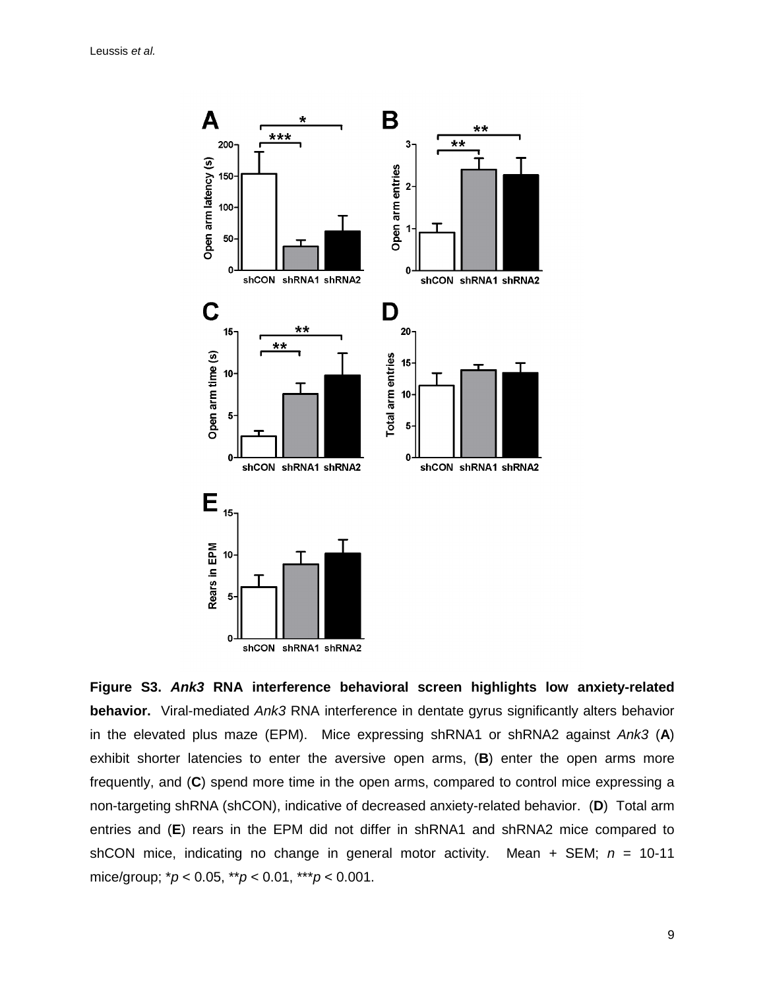

**Figure S3.** *Ank3* **RNA interference behavioral screen highlights low anxiety-related behavior.** Viral-mediated *Ank3* RNA interference in dentate gyrus significantly alters behavior in the elevated plus maze (EPM). Mice expressing shRNA1 or shRNA2 against *Ank3* (**A**) exhibit shorter latencies to enter the aversive open arms, (**B**) enter the open arms more frequently, and (**C**) spend more time in the open arms, compared to control mice expressing a non-targeting shRNA (shCON), indicative of decreased anxiety-related behavior. (**D**) Total arm entries and (**E**) rears in the EPM did not differ in shRNA1 and shRNA2 mice compared to shCON mice, indicating no change in general motor activity. Mean + SEM; *n* = 10-11 mice/group; \**p* < 0.05, \*\**p* < 0.01, \*\*\**p* < 0.001.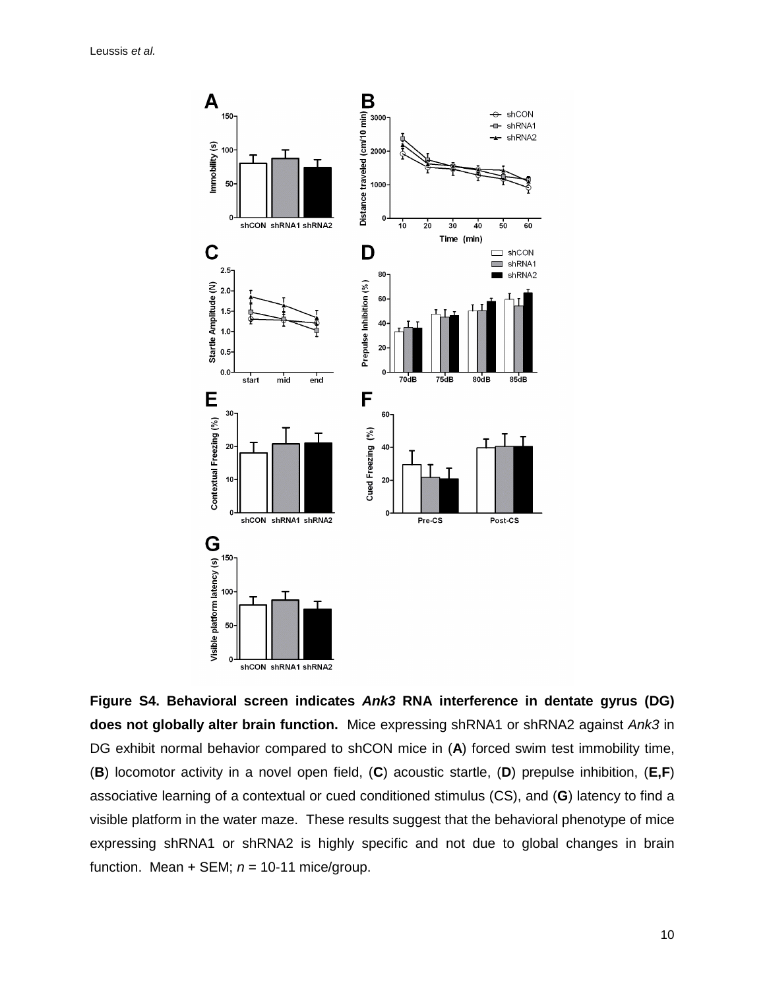

**Figure S4. Behavioral screen indicates** *Ank3* **RNA interference in dentate gyrus (DG) does not globally alter brain function.** Mice expressing shRNA1 or shRNA2 against *Ank3* in DG exhibit normal behavior compared to shCON mice in (**A**) forced swim test immobility time, (**B**) locomotor activity in a novel open field, (**C**) acoustic startle, (**D**) prepulse inhibition, (**E,F**) associative learning of a contextual or cued conditioned stimulus (CS), and (**G**) latency to find a visible platform in the water maze. These results suggest that the behavioral phenotype of mice expressing shRNA1 or shRNA2 is highly specific and not due to global changes in brain function. Mean  $+$  SEM;  $n = 10-11$  mice/group.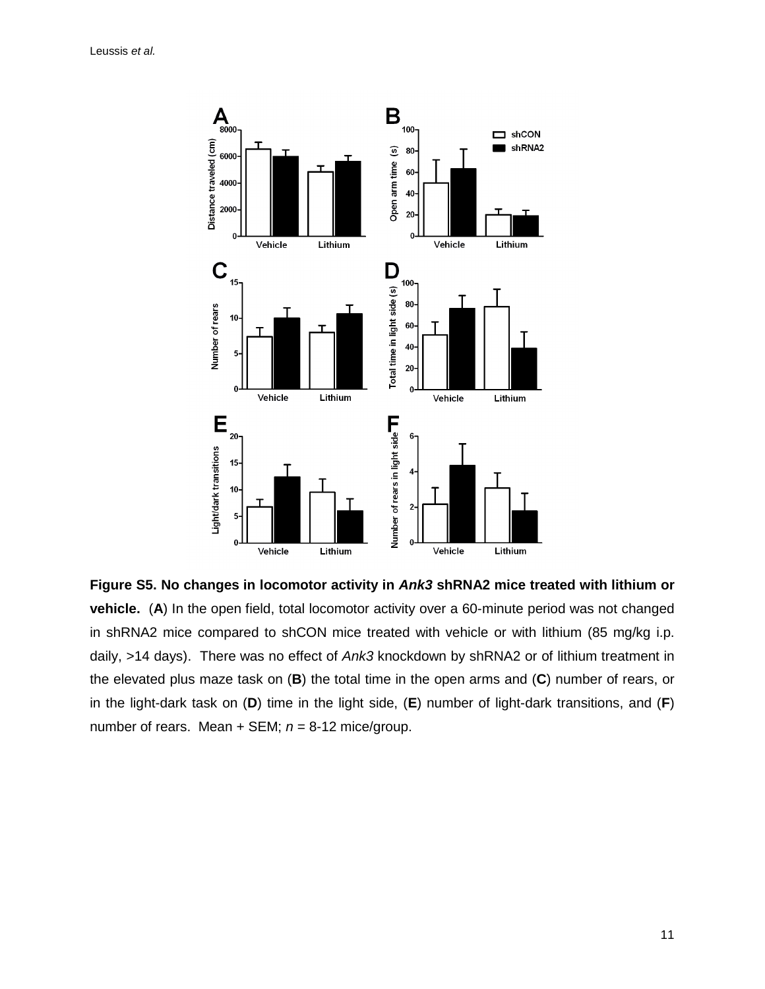

**Figure S5. No changes in locomotor activity in** *Ank3* **shRNA2 mice treated with lithium or vehicle.** (**A**) In the open field, total locomotor activity over a 60-minute period was not changed in shRNA2 mice compared to shCON mice treated with vehicle or with lithium (85 mg/kg i.p. daily, >14 days). There was no effect of *Ank3* knockdown by shRNA2 or of lithium treatment in the elevated plus maze task on (**B**) the total time in the open arms and (**C**) number of rears, or in the light-dark task on (**D**) time in the light side, (**E**) number of light-dark transitions, and (**F**) number of rears. Mean + SEM; *n* = 8-12 mice/group.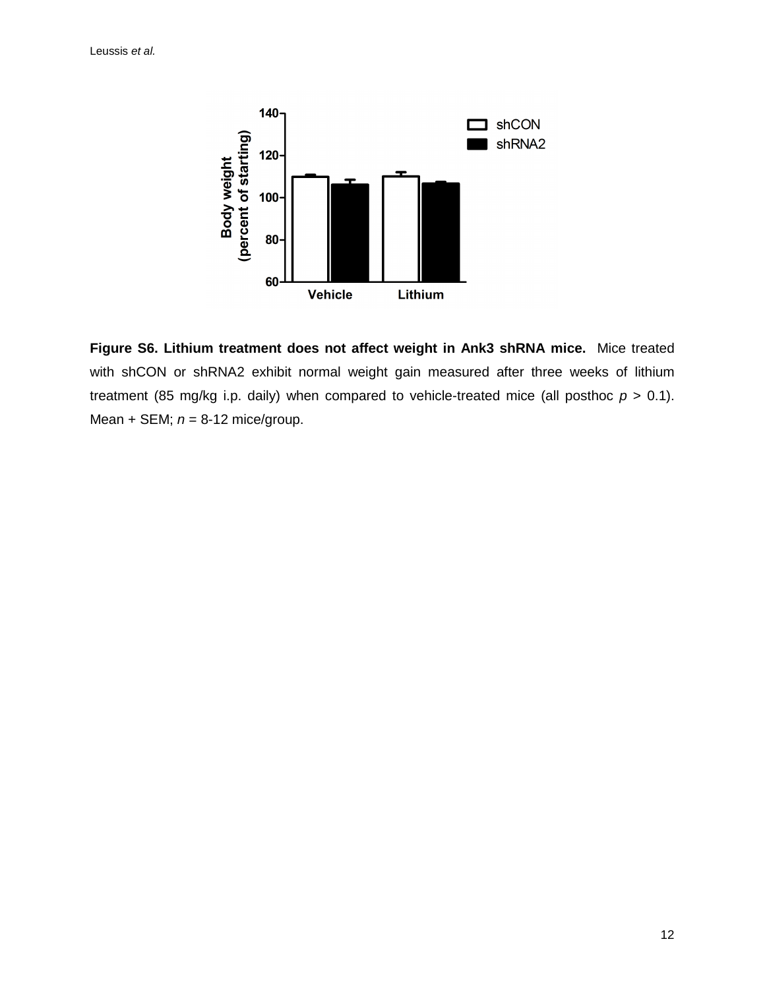

**Figure S6. Lithium treatment does not affect weight in Ank3 shRNA mice.** Mice treated with shCON or shRNA2 exhibit normal weight gain measured after three weeks of lithium treatment (85 mg/kg i.p. daily) when compared to vehicle-treated mice (all posthoc  $p > 0.1$ ). Mean + SEM; *n* = 8-12 mice/group.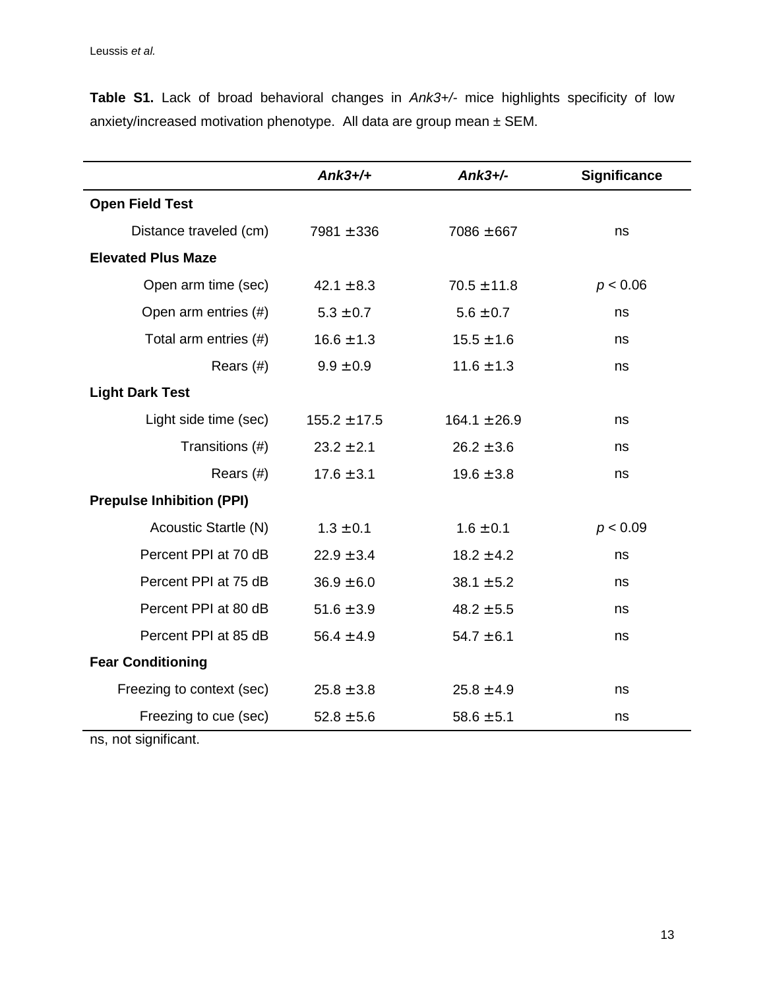|                                                                            |  |  |  |  | <b>Table S1.</b> Lack of broad behavioral changes in Ank3+/- mice highlights specificity of low |  |  |  |  |  |  |  |  |
|----------------------------------------------------------------------------|--|--|--|--|-------------------------------------------------------------------------------------------------|--|--|--|--|--|--|--|--|
| anxiety/increased motivation phenotype. All data are group mean $\pm$ SEM. |  |  |  |  |                                                                                                 |  |  |  |  |  |  |  |  |

|                                  | $Ank3+/+$        | $Ank3+/-$        | <b>Significance</b> |
|----------------------------------|------------------|------------------|---------------------|
| <b>Open Field Test</b>           |                  |                  |                     |
| Distance traveled (cm)           | $7981 \pm 336$   | $7086 \pm 667$   | ns                  |
| <b>Elevated Plus Maze</b>        |                  |                  |                     |
| Open arm time (sec)              | 42.1 $\pm$ 8.3   | $70.5 \pm 11.8$  | p < 0.06            |
| Open arm entries (#)             | $5.3 \pm 0.7$    | $5.6 \pm 0.7$    | ns                  |
| Total arm entries (#)            | $16.6 \pm 1.3$   | $15.5 \pm 1.6$   | ns                  |
| Rears $(H)$                      | $9.9 \pm 0.9$    | $11.6 \pm 1.3$   | ns                  |
| <b>Light Dark Test</b>           |                  |                  |                     |
| Light side time (sec)            | $155.2 \pm 17.5$ | $164.1 \pm 26.9$ | ns                  |
| Transitions (#)                  | $23.2 \pm 2.1$   | $26.2 \pm 3.6$   | ns                  |
| Rears $(\#)$                     | $17.6 \pm 3.1$   | $19.6 \pm 3.8$   | ns                  |
| <b>Prepulse Inhibition (PPI)</b> |                  |                  |                     |
| Acoustic Startle (N)             | $1.3 \pm 0.1$    | $1.6 \pm 0.1$    | p < 0.09            |
| Percent PPI at 70 dB             | $22.9 \pm 3.4$   | $18.2 \pm 4.2$   | ns                  |
| Percent PPI at 75 dB             | $36.9 \pm 6.0$   | $38.1 \pm 5.2$   | ns                  |
| Percent PPI at 80 dB             | $51.6 \pm 3.9$   | $48.2 \pm 5.5$   | ns                  |
| Percent PPI at 85 dB             | $56.4 \pm 4.9$   | $54.7 \pm 6.1$   | ns                  |
| <b>Fear Conditioning</b>         |                  |                  |                     |
| Freezing to context (sec)        | $25.8 \pm 3.8$   | $25.8 \pm 4.9$   | ns                  |
| Freezing to cue (sec)            | $52.8 \pm 5.6$   | $58.6 \pm 5.1$   | ns                  |

ns, not significant.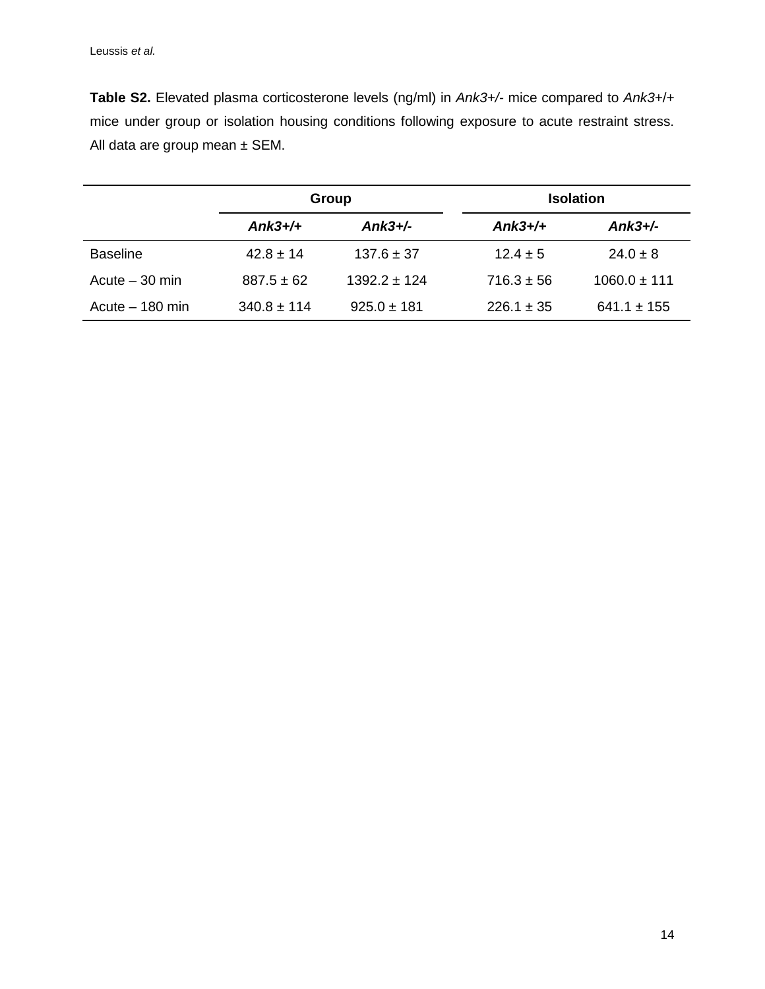**Table S2.** Elevated plasma corticosterone levels (ng/ml) in *Ank3+/-* mice compared to *Ank3*+/+ mice under group or isolation housing conditions following exposure to acute restraint stress. All data are group mean  $\pm$  SEM.

|                  |                 | Group            | <b>Isolation</b> |                  |  |  |
|------------------|-----------------|------------------|------------------|------------------|--|--|
|                  | $Ank3+/+$       | $Ank3+/-$        | $Ank3+/+$        | $Ank3+/-$        |  |  |
| <b>Baseline</b>  | $42.8 \pm 14$   | $137.6 \pm 37$   | $12.4 \pm 5$     | $24.0 \pm 8$     |  |  |
| $Acute - 30 min$ | $887.5 \pm 62$  | $1392.2 \pm 124$ | $716.3 \pm 56$   | $1060.0 \pm 111$ |  |  |
| Acute $-180$ min | $340.8 \pm 114$ | $925.0 \pm 181$  | $226.1 \pm 35$   | $641.1 \pm 155$  |  |  |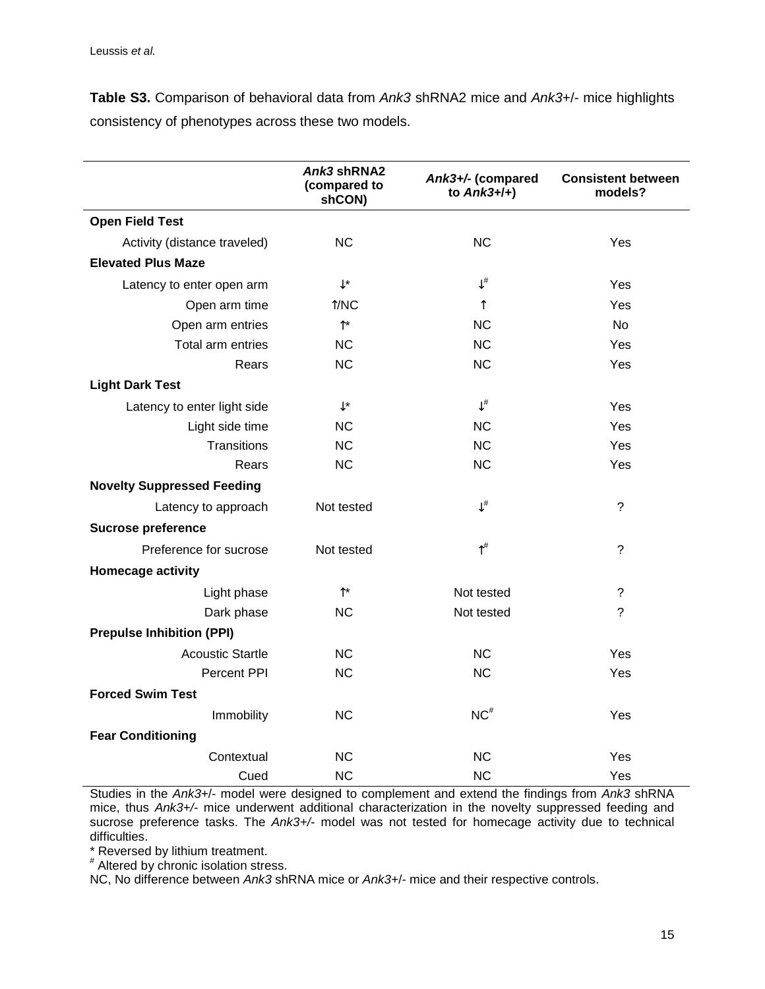**Table S3.** Comparison of behavioral data from *Ank3* shRNA2 mice and *Ank3*+/- mice highlights consistency of phenotypes across these two models.

|                                   | Ank3 shRNA2<br>(compared to<br>shCON) | Ank3+/- (compared<br>to $Ank3+/+)$ | <b>Consistent between</b><br>models? |
|-----------------------------------|---------------------------------------|------------------------------------|--------------------------------------|
| <b>Open Field Test</b>            |                                       |                                    |                                      |
| Activity (distance traveled)      | <b>NC</b>                             | <b>NC</b>                          | Yes                                  |
| <b>Elevated Plus Maze</b>         |                                       |                                    |                                      |
| Latency to enter open arm         | $-$ *                                 | $-$ #                              | Yes                                  |
| Open arm time                     | - /NC                                 | $\blacksquare$                     | Yes                                  |
| Open arm entries                  | $\overline{\phantom{a}}$              | NC.                                | <b>No</b>                            |
| Total arm entries                 | <b>NC</b>                             | <b>NC</b>                          | Yes                                  |
| Rears                             | <b>NC</b>                             | NC                                 | Yes                                  |
| <b>Light Dark Test</b>            |                                       |                                    |                                      |
| Latency to enter light side       | $- *$                                 | $-$ #                              | Yes                                  |
| Light side time                   | <b>NC</b>                             | NC.                                | Yes                                  |
| Transitions                       | <b>NC</b>                             | <b>NC</b>                          | Yes                                  |
| Rears                             | <b>NC</b>                             | <b>NC</b>                          | Yes                                  |
| <b>Novelty Suppressed Feeding</b> |                                       |                                    |                                      |
| Latency to approach               | Not tested                            | $-$ #                              | $\overline{?}$                       |
| <b>Sucrose preference</b>         |                                       |                                    |                                      |
| Preference for sucrose            | Not tested                            | $-$ #                              | $\overline{?}$                       |
| <b>Homecage activity</b>          |                                       |                                    |                                      |
| Light phase                       | $-$ *                                 | Not tested                         | ?                                    |
| Dark phase                        | <b>NC</b>                             | Not tested                         | ?                                    |
| <b>Prepulse Inhibition (PPI)</b>  |                                       |                                    |                                      |
| <b>Acoustic Startle</b>           | <b>NC</b>                             | <b>NC</b>                          | Yes                                  |
| Percent PPI                       | <b>NC</b>                             | <b>NC</b>                          | Yes                                  |
| <b>Forced Swim Test</b>           |                                       |                                    |                                      |
| Immobility                        | <b>NC</b>                             | $NC^*$                             | Yes                                  |
| <b>Fear Conditioning</b>          |                                       |                                    |                                      |
| Contextual                        | <b>NC</b>                             | <b>NC</b>                          | Yes                                  |
| Cued                              | <b>NC</b>                             | <b>NC</b>                          | Yes                                  |

Studies in the *Ank3*+/- model were designed to complement and extend the findings from *Ank3* shRNA mice, thus *Ank3+/-* mice underwent additional characterization in the novelty suppressed feeding and sucrose preference tasks. The *Ank3+/-* model was not tested for homecage activity due to technical difficulties.

\* Reversed by lithium treatment.

# Altered by chronic isolation stress.

NC, No difference between *Ank3* shRNA mice or *Ank3*+/- mice and their respective controls.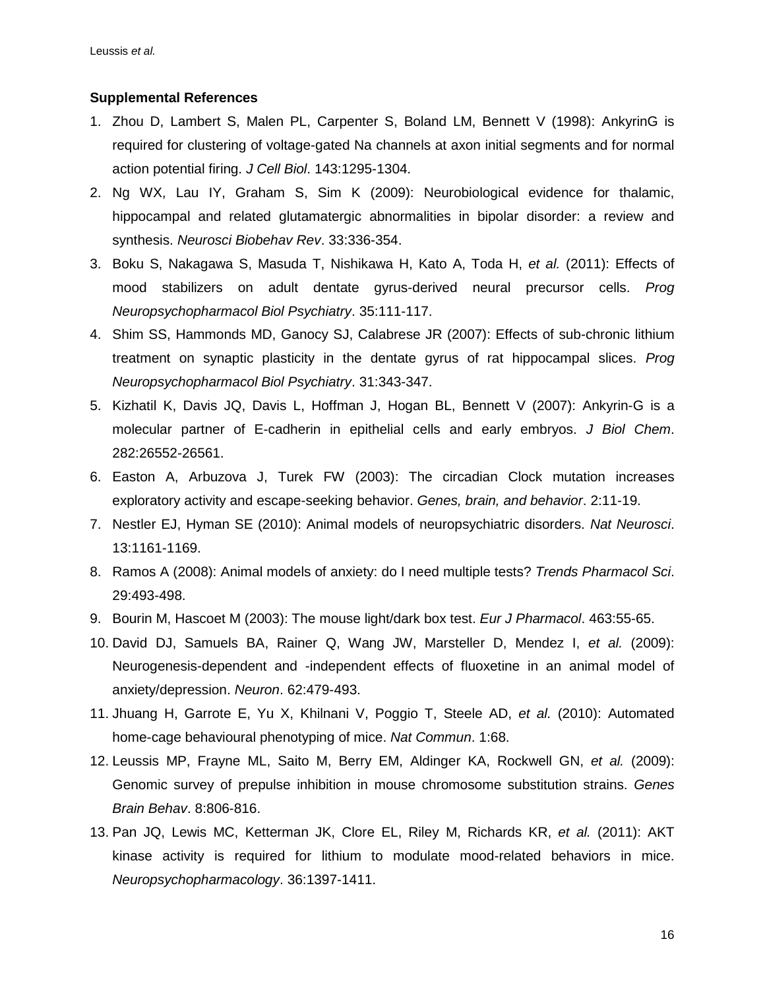## **Supplemental References**

- <span id="page-15-0"></span>1. Zhou D, Lambert S, Malen PL, Carpenter S, Boland LM, Bennett V (1998): AnkyrinG is required for clustering of voltage-gated Na channels at axon initial segments and for normal action potential firing. *J Cell Biol*. 143:1295-1304.
- <span id="page-15-1"></span>2. Ng WX, Lau IY, Graham S, Sim K (2009): Neurobiological evidence for thalamic, hippocampal and related glutamatergic abnormalities in bipolar disorder: a review and synthesis. *Neurosci Biobehav Rev*. 33:336-354.
- <span id="page-15-2"></span>3. Boku S, Nakagawa S, Masuda T, Nishikawa H, Kato A, Toda H, *et al.* (2011): Effects of mood stabilizers on adult dentate gyrus-derived neural precursor cells. *Prog Neuropsychopharmacol Biol Psychiatry*. 35:111-117.
- <span id="page-15-3"></span>4. Shim SS, Hammonds MD, Ganocy SJ, Calabrese JR (2007): Effects of sub-chronic lithium treatment on synaptic plasticity in the dentate gyrus of rat hippocampal slices. *Prog Neuropsychopharmacol Biol Psychiatry*. 31:343-347.
- <span id="page-15-4"></span>5. Kizhatil K, Davis JQ, Davis L, Hoffman J, Hogan BL, Bennett V (2007): Ankyrin-G is a molecular partner of E-cadherin in epithelial cells and early embryos. *J Biol Chem*. 282:26552-26561.
- <span id="page-15-5"></span>6. Easton A, Arbuzova J, Turek FW (2003): The circadian Clock mutation increases exploratory activity and escape-seeking behavior. *Genes, brain, and behavior*. 2:11-19.
- <span id="page-15-6"></span>7. Nestler EJ, Hyman SE (2010): Animal models of neuropsychiatric disorders. *Nat Neurosci*. 13:1161-1169.
- <span id="page-15-7"></span>8. Ramos A (2008): Animal models of anxiety: do I need multiple tests? *Trends Pharmacol Sci*. 29:493-498.
- 9. Bourin M, Hascoet M (2003): The mouse light/dark box test. *Eur J Pharmacol*. 463:55-65.
- <span id="page-15-8"></span>10. David DJ, Samuels BA, Rainer Q, Wang JW, Marsteller D, Mendez I, *et al.* (2009): Neurogenesis-dependent and -independent effects of fluoxetine in an animal model of anxiety/depression. *Neuron*. 62:479-493.
- <span id="page-15-9"></span>11. Jhuang H, Garrote E, Yu X, Khilnani V, Poggio T, Steele AD, *et al.* (2010): Automated home-cage behavioural phenotyping of mice. *Nat Commun*. 1:68.
- <span id="page-15-10"></span>12. Leussis MP, Frayne ML, Saito M, Berry EM, Aldinger KA, Rockwell GN, *et al.* (2009): Genomic survey of prepulse inhibition in mouse chromosome substitution strains. *Genes Brain Behav*. 8:806-816.
- <span id="page-15-11"></span>13. Pan JQ, Lewis MC, Ketterman JK, Clore EL, Riley M, Richards KR, *et al.* (2011): AKT kinase activity is required for lithium to modulate mood-related behaviors in mice. *Neuropsychopharmacology*. 36:1397-1411.